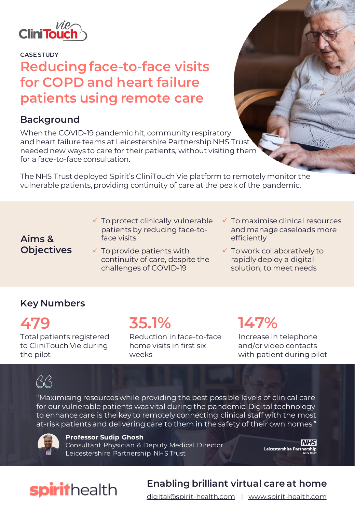

**CASE STUDY**

## **Reducing face-to-face visits for COPD and heart failure patients using remote care**

#### **Background**

When the COVID-19 pandemic hit, community respiratory and heart failure teams at Leicestershire Partnership NHS Trust needed new ways to care for their patients, without visiting them for a face-to-face consultation.

The NHS Trust deployed Spirit's CliniTouch Vie platform to remotely monitor the vulnerable patients, providing continuity of care at the peak of the pandemic.

#### **Aims & Objectives**

- $\checkmark$  To protect clinically vulnerable patients by reducing face-toface visits
- $\checkmark$  To provide patients with continuity of care, despite the challenges of COVID-19
- $\checkmark$  To maximise clinical resources and manage caseloads more efficiently
- ✓ To work collaboratively to rapidly deploy a digital solution, to meet needs

### **Key Numbers**

**479** Total patients registered to CliniTouch Vie during the pilot

**35.1%**

Reduction in face-to-face home visits in first six weeks

# **147%**

Increase in telephone and/or video contacts with patient during pilot

# $\beta\beta$

"Maximising resources while providing the best possible levels of clinical care for our vulnerable patients was vital during the pandemic. Digital technology to enhance care is the key to remotely connecting clinical staff with the most at-risk patients and delivering care to them in the safety of their own homes."



**Professor Sudip Ghosh** Consultant Physician & Deputy Medical Director Leicestershire Partnership NHS Trust

**NHS** Leicestershire Partnership

# spirithealth

## **Enabling brilliant virtual care at home**

[digital@spirit-health.com](mailto:digital@spirit-health.com) | [www.spirit-health.com](http://www.spirit-health.com/)